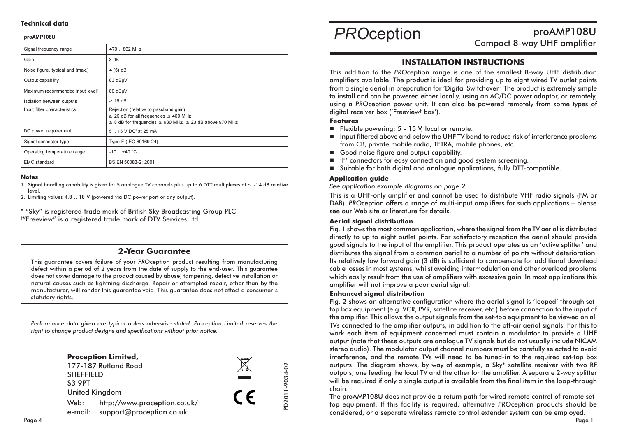#### **Technical data**

| proAMP108U                                   |                                                                                                                                                                     |
|----------------------------------------------|---------------------------------------------------------------------------------------------------------------------------------------------------------------------|
| Signal frequency range                       | 470  862 MHz                                                                                                                                                        |
| Gain                                         | 3 dB                                                                                                                                                                |
| Noise figure, typical and (max.)             | $4(5)$ dB                                                                                                                                                           |
| Output capability <sup>1</sup>               | 83 dBµV                                                                                                                                                             |
| Maximum recommended input level <sup>1</sup> | 80 dBµV                                                                                                                                                             |
| Isolation between outputs                    | $\geq$ 16 dB                                                                                                                                                        |
| Input filter characteristics                 | Rejection (relative to passband gain):<br>$\geq$ 26 dB for all frequencies $\leq$ 400 MHz<br>$\geq$ 8 dB for frequencies $\geq$ 930 MHz, $\geq$ 23 dB above 970 MHz |
| DC power requirement                         | 5. 15 V DC <sup>2</sup> at 25 mA                                                                                                                                    |
| Signal connector type                        | Type-F (IEC 60169-24)                                                                                                                                               |
| Operating temperature range                  | $-10$ $+40$ °C                                                                                                                                                      |
| <b>EMC</b> standard                          | BS EN 50083-2: 2001                                                                                                                                                 |

#### **Notes**

1. Signal handling capability is given for 5 angloaue TV channels plus up to 6 DTT multiplexes at  $\leq$  -14 dB relative level

2. Limiting values 4.8 .. 18 V (powered via DC power port or any output).

\* "Sky" is registered trade mark of British Sky Broadcasting Group PLC. <sup>†</sup>"Freeview" is a registered trade mark of DTV Services Ltd.

## 2-Year Guarantee

This quarantee covers failure of your PROception product resulting from manufacturing defect within a period of 2 years from the date of supply to the end-user. This augrantee does not cover damage to the product caused by abuse, tampering, defective installation or natural causes such as lightning discharge. Repair or attempted repair, other than by the manufacturer, will render this quarantee void. This quarantee does not affect a consumer's statutory rights.

Performance data given are typical unless otherwise stated. Proception Limited reserves the right to change product designs and specifications without prior notice.



# **PROception**

proAMP108U **Compact 8-way UHF amplifier** 

# **INSTALLATION INSTRUCTIONS**

This addition to the PROception range is one of the smallest 8-way UHF distribution amplifiers available. The product is ideal for providing up to eight wired TV outlet points from a single aerial in preparation for 'Digital Switchover.' The product is extremely simple to install and can be powered either locally, using an AC/DC power adaptor, or remotely, using a PROception power unit. It can also be powered remotely from some types of digital receiver box ('Freeview<sup>+</sup> box').

#### **Features**

- Flexible powering: 5 15 V, local or remote.
- Input filtered above and below the UHF TV band to reduce risk of interference problems from CB, private mobile radio, TETRA, mobile phones, etc.
- Good noise figure and output capability.
- 'F' connectors for easy connection and good system screening.
- Suitable for both digital and analogue applications, fully DTT-compatible.

### **Application avide**

See application example diagrams on page 2.

This is a UHF-only amplifier and cannot be used to distribute VHF radio signals (FM or DAB). PROception offers a range of multi-input amplifiers for such applications - please see our Web site or literature for details

## **Aerial signal distribution**

Fig. 1 shows the most common application, where the signal from the TV aerial is distributed directly to up to eight outlet points. For satisfactory reception the aerial should provide good signals to the input of the amplifier. This product operates as an 'active splitter' and distributes the signal from a common aerial to a number of points without deterioration. Its relatively low forward gain (3 dB) is sufficient to compensate for additional downlead cable losses in most systems, whilst avoiding intermodulation and other overload problems which easily result from the use of amplifiers with excessive gain. In most applications this amplifier will not improve a poor aerial signal.

#### **Enhanced sianal distribution**

Fig. 2 shows an alternative configuration where the aerial signal is 'looped' through settop box equipment (e.g. VCR, PVR, satellite receiver, etc.) before connection to the input of the amplifier. This allows the output signals from the set-top equipment to be viewed on all TVs connected to the amplifier outputs, in addition to the off-air aerial sianals. For this to work each item of equipment concerned must contain a modulator to provide a UHF output (note that these outputs are analogue TV signals but do not usually include NICAM stereo audio). The modulator output channel numbers must be carefully selected to avoid interference, and the remote TVs will need to be tuned-in to the required set-top box outputs. The digaram shows, by way of example, a Sky\* satellite receiver with two RF outputs, one feeding the local TV and the other for the amplifier. A separate 2-way splitter will be required if only a single output is available from the final item in the loop-through chain.

The proAMP108U does not provide a return path for wired remote control of remote settop equipment. If this facility is required, alternative PROception products should be considered, or a separate wireless remote control extender system can be employed.